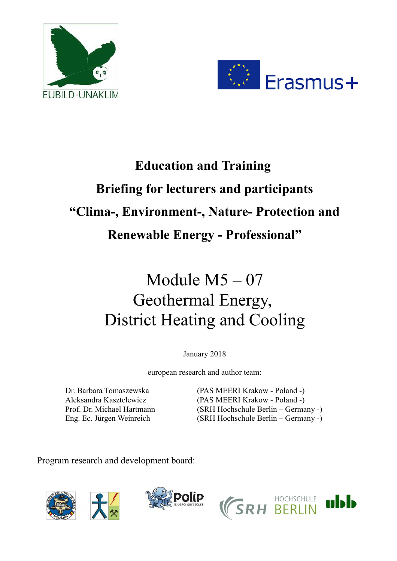



# **Education and Training Briefing for lecturers and participants "Clima-, Environment-, Nature- Protection and Renewable Energy - Professional"**

# Module M5 – 07 Geothermal Energy, District Heating and Cooling

January 2018

european research and author team:

Dr. Barbara Tomaszewska (PAS MEERI Krakow - Poland -) Aleksandra Kasztelewicz (PAS MEERI Krakow - Poland -) Prof. Dr. Michael Hartmann (SRH Hochschule Berlin – Germany -) Eng. Ec. Jürgen Weinreich (SRH Hochschule Berlin – Germany -)

Program research and development board:







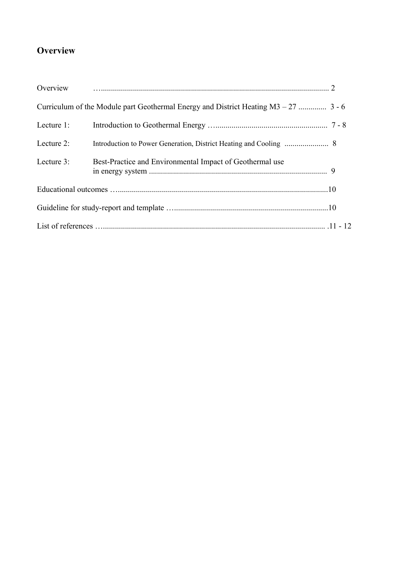## **Overview**

| Overview   |                                                                                      |  |
|------------|--------------------------------------------------------------------------------------|--|
|            | Curriculum of the Module part Geothermal Energy and District Heating $M3 - 27$ 3 - 6 |  |
| Lecture 1: |                                                                                      |  |
| Lecture 2: |                                                                                      |  |
| Lecture 3: | Best-Practice and Environmental Impact of Geothermal use                             |  |
|            |                                                                                      |  |
|            |                                                                                      |  |
|            |                                                                                      |  |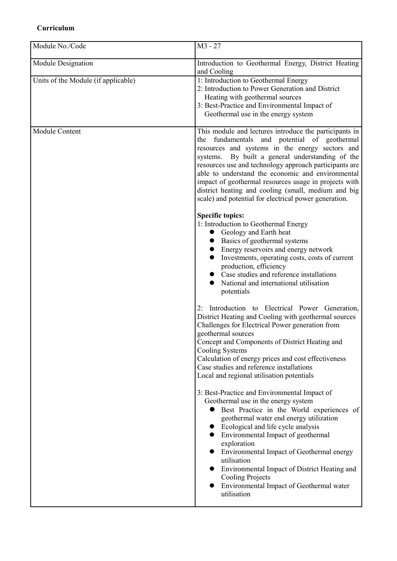## **Curriculum**

| Module No./Code                     | $M3 - 27$                                                                                                                                                                                                                                                                                                                                                                                                                                                                                             |
|-------------------------------------|-------------------------------------------------------------------------------------------------------------------------------------------------------------------------------------------------------------------------------------------------------------------------------------------------------------------------------------------------------------------------------------------------------------------------------------------------------------------------------------------------------|
| Module Designation                  | Introduction to Geothermal Energy, District Heating<br>and Cooling                                                                                                                                                                                                                                                                                                                                                                                                                                    |
| Units of the Module (if applicable) | 1: Introduction to Geothermal Energy<br>2: Introduction to Power Generation and District<br>Heating with geothermal sources<br>3: Best-Practice and Environmental Impact of<br>Geothermal use in the energy system                                                                                                                                                                                                                                                                                    |
| Module Content                      | This module and lectures introduce the participants in<br>the fundamentals and potential of geothermal<br>resources and systems in the energy sectors and<br>systems. By built a general understanding of the<br>resources use and technology approach participants are<br>able to understand the economic and environmental<br>impact of geothermal resources usage in projects with<br>district heating and cooling (small, medium and big<br>scale) and potential for electrical power generation. |
|                                     | <b>Specific topics:</b><br>1: Introduction to Geothermal Energy<br>Geology and Earth heat<br>Basics of geothermal systems<br>Energy reservoirs and energy network<br>Investments, operating costs, costs of current<br>production, efficiency<br>Case studies and reference installations<br>National and international utilisation<br>potentials                                                                                                                                                     |
|                                     | Introduction to Electrical Power Generation,<br>2:<br>District Heating and Cooling with geothermal sources<br>Challenges for Electrical Power generation from<br>geothermal sources<br>Concept and Components of District Heating and<br>Cooling Systems<br>Calculation of energy prices and cost effectiveness<br>Case studies and reference installations<br>Local and regional utilisation potentials                                                                                              |
|                                     | 3: Best-Practice and Environmental Impact of<br>Geothermal use in the energy system<br>Best Practice in the World experiences of<br>geothermal water end energy utilization<br>Ecological and life cycle analysis<br>Environmental Impact of geothermal<br>exploration<br>Environmental Impact of Geothermal energy<br>utilisation<br>Environmental Impact of District Heating and<br><b>Cooling Projects</b><br>Environmental Impact of Geothermal water<br>utilisation                              |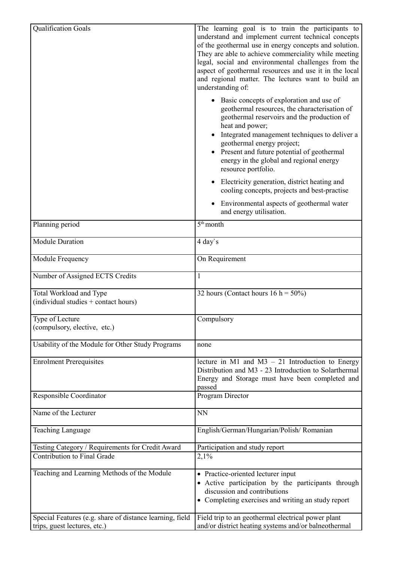| <b>Qualification Goals</b>                                        | The learning goal is to train the participants to<br>understand and implement current technical concepts<br>of the geothermal use in energy concepts and solution.<br>They are able to achieve commerciality while meeting<br>legal, social and environmental challenges from the<br>aspect of geothermal resources and use it in the local<br>and regional matter. The lectures want to build an<br>understanding of: |
|-------------------------------------------------------------------|------------------------------------------------------------------------------------------------------------------------------------------------------------------------------------------------------------------------------------------------------------------------------------------------------------------------------------------------------------------------------------------------------------------------|
|                                                                   | Basic concepts of exploration and use of<br>geothermal resources, the characterisation of<br>geothermal reservoirs and the production of<br>heat and power;<br>Integrated management techniques to deliver a<br>geothermal energy project;<br>• Present and future potential of geothermal<br>energy in the global and regional energy<br>resource portfolio.                                                          |
|                                                                   | Electricity generation, district heating and<br>cooling concepts, projects and best-practise                                                                                                                                                                                                                                                                                                                           |
|                                                                   | Environmental aspects of geothermal water<br>and energy utilisation.                                                                                                                                                                                                                                                                                                                                                   |
| Planning period                                                   | $5th$ month                                                                                                                                                                                                                                                                                                                                                                                                            |
| <b>Module Duration</b>                                            | 4 day's                                                                                                                                                                                                                                                                                                                                                                                                                |
| Module Frequency                                                  | On Requirement                                                                                                                                                                                                                                                                                                                                                                                                         |
| Number of Assigned ECTS Credits                                   | 1                                                                                                                                                                                                                                                                                                                                                                                                                      |
| Total Workload and Type<br>(individual studies $+$ contact hours) | 32 hours (Contact hours $16 h = 50\%)$                                                                                                                                                                                                                                                                                                                                                                                 |
| Type of Lecture<br>(compulsory, elective, etc.)                   | Compulsory                                                                                                                                                                                                                                                                                                                                                                                                             |
| Usability of the Module for Other Study Programs                  | none                                                                                                                                                                                                                                                                                                                                                                                                                   |
| <b>Enrolment Prerequisites</b>                                    | lecture in M1 and M3 $-$ 21 Introduction to Energy<br>Distribution and M3 - 23 Introduction to Solarthermal<br>Energy and Storage must have been completed and<br>passed                                                                                                                                                                                                                                               |
| Responsible Coordinator                                           | Program Director                                                                                                                                                                                                                                                                                                                                                                                                       |
| Name of the Lecturer                                              | <b>NN</b>                                                                                                                                                                                                                                                                                                                                                                                                              |
| Teaching Language                                                 | English/German/Hungarian/Polish/Romanian                                                                                                                                                                                                                                                                                                                                                                               |
| Testing Category / Requirements for Credit Award                  | Participation and study report                                                                                                                                                                                                                                                                                                                                                                                         |
| Contribution to Final Grade                                       | 2,1%                                                                                                                                                                                                                                                                                                                                                                                                                   |
| Teaching and Learning Methods of the Module                       | • Practice-oriented lecturer input<br>• Active participation by the participants through<br>discussion and contributions<br>• Completing exercises and writing an study report                                                                                                                                                                                                                                         |
| Special Features (e.g. share of distance learning, field          | Field trip to an geothermal electrical power plant                                                                                                                                                                                                                                                                                                                                                                     |
| trips, guest lectures, etc.)                                      | and/or district heating systems and/or balneothermal                                                                                                                                                                                                                                                                                                                                                                   |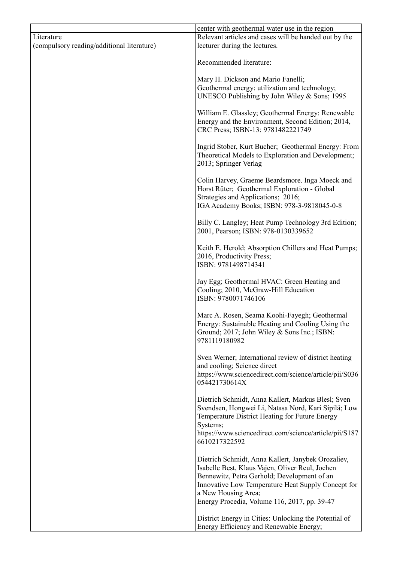|                                            | center with geothermal water use in the region                                                                                                                                                                                                                                    |
|--------------------------------------------|-----------------------------------------------------------------------------------------------------------------------------------------------------------------------------------------------------------------------------------------------------------------------------------|
| Literature                                 | Relevant articles and cases will be handed out by the                                                                                                                                                                                                                             |
| (compulsory reading/additional literature) | lecturer during the lectures.                                                                                                                                                                                                                                                     |
|                                            | Recommended literature:                                                                                                                                                                                                                                                           |
|                                            | Mary H. Dickson and Mario Fanelli;                                                                                                                                                                                                                                                |
|                                            | Geothermal energy: utilization and technology;                                                                                                                                                                                                                                    |
|                                            | UNESCO Publishing by John Wiley & Sons; 1995                                                                                                                                                                                                                                      |
|                                            | William E. Glassley; Geothermal Energy: Renewable<br>Energy and the Environment, Second Edition; 2014,<br>CRC Press; ISBN-13: 9781482221749                                                                                                                                       |
|                                            | Ingrid Stober, Kurt Bucher; Geothermal Energy: From<br>Theoretical Models to Exploration and Development;<br>2013; Springer Verlag                                                                                                                                                |
|                                            | Colin Harvey, Graeme Beardsmore. Inga Moeck and<br>Horst Rüter; Geothermal Exploration - Global<br>Strategies and Applications; 2016;<br>IGA Academy Books; ISBN: 978-3-9818045-0-8                                                                                               |
|                                            | Billy C. Langley; Heat Pump Technology 3rd Edition;<br>2001, Pearson; ISBN: 978-0130339652                                                                                                                                                                                        |
|                                            | Keith E. Herold; Absorption Chillers and Heat Pumps;<br>2016, Productivity Press;<br>ISBN: 9781498714341                                                                                                                                                                          |
|                                            | Jay Egg; Geothermal HVAC: Green Heating and<br>Cooling; 2010, McGraw-Hill Education<br>ISBN: 9780071746106                                                                                                                                                                        |
|                                            | Marc A. Rosen, Seama Koohi-Fayegh; Geothermal<br>Energy: Sustainable Heating and Cooling Using the<br>Ground; 2017; John Wiley & Sons Inc.; ISBN:<br>9781119180982                                                                                                                |
|                                            | Sven Werner; International review of district heating<br>and cooling; Science direct                                                                                                                                                                                              |
|                                            | https://www.sciencedirect.com/science/article/pii/S036<br>054421730614X                                                                                                                                                                                                           |
|                                            | Dietrich Schmidt, Anna Kallert, Markus Blesl; Sven<br>Svendsen, Hongwei Li, Natasa Nord, Kari Sipilä; Low<br>Temperature District Heating for Future Energy<br>Systems;<br>https://www.sciencedirect.com/science/article/pii/S187<br>6610217322592                                |
|                                            | Dietrich Schmidt, Anna Kallert, Janybek Orozaliev,<br>Isabelle Best, Klaus Vajen, Oliver Reul, Jochen<br>Bennewitz, Petra Gerhold; Development of an<br>Innovative Low Temperature Heat Supply Concept for<br>a New Housing Area;<br>Energy Procedia, Volume 116, 2017, pp. 39-47 |
|                                            | District Energy in Cities: Unlocking the Potential of<br>Energy Efficiency and Renewable Energy;                                                                                                                                                                                  |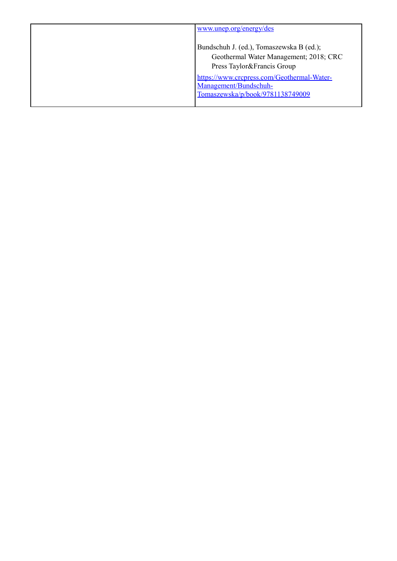| www.unep.org/energy/des                    |
|--------------------------------------------|
| Bundschuh J. (ed.), Tomaszewska B (ed.);   |
| Geothermal Water Management; 2018; CRC     |
| Press Taylor&Francis Group                 |
| https://www.crcpress.com/Geothermal-Water- |
| Management/Bundschuh-                      |
| Tomaszewska/p/book/9781138749009           |
|                                            |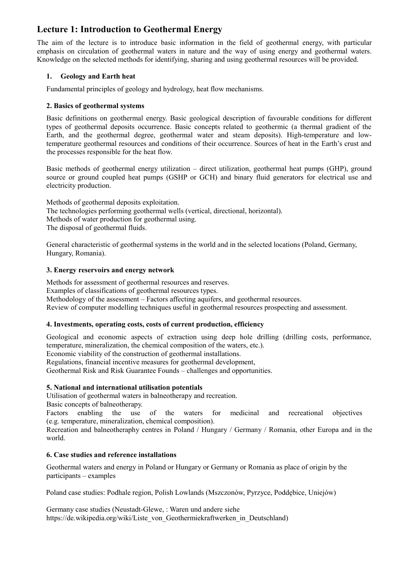## **Lecture 1: Introduction to Geothermal Energy**

The aim of the lecture is to introduce basic information in the field of geothermal energy, with particular emphasis on circulation of geothermal waters in nature and the way of using energy and geothermal waters. Knowledge on the selected methods for identifying, sharing and using geothermal resources will be provided.

## **1. Geology and Earth heat**

Fundamental principles of geology and hydrology, heat flow mechanisms.

## **2. Basics of geothermal systems**

Basic definitions on geothermal energy. Basic geological description of favourable conditions for different types of geothermal deposits occurrence. Basic concepts related to geothermic (a thermal gradient of the Earth, and the geothermal degree, geothermal water and steam deposits). High-temperature and lowtemperature geothermal resources and conditions of their occurrence. Sources of heat in the Earth's crust and the processes responsible for the heat flow.

Basic methods of geothermal energy utilization – direct utilization, geothermal heat pumps (GHP), ground source or ground coupled heat pumps (GSHP or GCH) and binary fluid generators for electrical use and electricity production.

Methods of geothermal deposits exploitation. The technologies performing geothermal wells (vertical, directional, horizontal). Methods of water production for geothermal using. The disposal of geothermal fluids.

General characteristic of geothermal systems in the world and in the selected locations (Poland, Germany, Hungary, Romania).

## **3. Energy reservoirs and energy network**

Methods for assessment of geothermal resources and reserves. Examples of classifications of geothermal resources types. Methodology of the assessment – Factors affecting aquifers, and geothermal resources. Review of computer modelling techniques useful in geothermal resources prospecting and assessment.

## **4. Investments, operating costs, costs of current production, efficiency**

Geological and economic aspects of extraction using deep hole drilling (drilling costs, performance, temperature, mineralization, the chemical composition of the waters, etc.).

Economic viability of the construction of geothermal installations.

Regulations, financial incentive measures for geothermal development,

Geothermal Risk and Risk Guarantee Founds – challenges and opportunities.

## **5. National and international utilisation potentials**

Utilisation of geothermal waters in balneotherapy and recreation.

Basic concepts of balneotherapy.

Factors enabling the use of the waters for medicinal and recreational objectives (e.g. temperature, mineralization, chemical composition).

Recreation and balneotheraphy centres in Poland / Hungary / Germany / Romania, other Europa and in the world.

## **6. Case studies and reference installations**

Geothermal waters and energy in Poland or Hungary or Germany or Romania as place of origin by the participants – examples

Poland case studies: Podhale region, Polish Lowlands (Mszczonów, Pyrzyce, Poddębice, Uniejów)

Germany case studies (Neustadt-Glewe, : Waren und andere siehe https://de.wikipedia.org/wiki/Liste\_von\_Geothermiekraftwerken\_in\_Deutschland)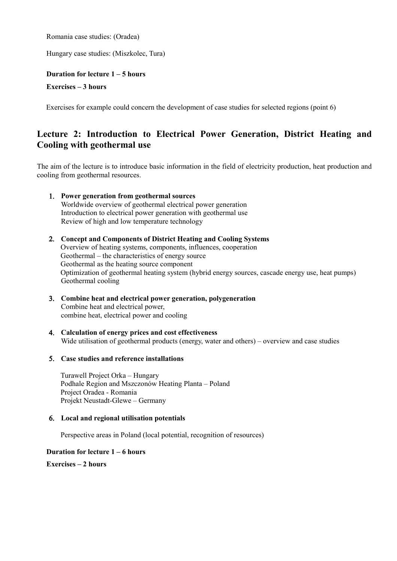Romania case studies: (Oradea)

Hungary case studies: (Miszkolec, Tura)

## **Duration for lecture 1 – 5 hours Exercises – 3 hours**

Exercises for example could concern the development of case studies for selected regions (point 6)

## **Lecture 2: Introduction to Electrical Power Generation, District Heating and Cooling with geothermal use**

The aim of the lecture is to introduce basic information in the field of electricity production, heat production and cooling from geothermal resources.

- 1. **Power generation from geothermal sources** Worldwide overview of geothermal electrical power generation Introduction to electrical power generation with geothermal use Review of high and low temperature technology
- 2. **Concept and Components of District Heating and Cooling Systems** Overview of heating systems, components, influences, cooperation Geothermal – the characteristics of energy source Geothermal as the heating source component Optimization of geothermal heating system (hybrid energy sources, cascade energy use, heat pumps) Geothermal cooling
- 3. **Combine heat and electrical power generation, polygeneration** Combine heat and electrical power, combine heat, electrical power and cooling
- 4. **Calculation of energy prices and cost effectiveness** Wide utilisation of geothermal products (energy, water and others) – overview and case studies
- 5. **Case studies and reference installations**

Turawell Project Orka – Hungary Podhale Region and Mszczonów Heating Planta – Poland Project Oradea - Romania Projekt Neustadt-Glewe – Germany

## 6. **Local and regional utilisation potentials**

Perspective areas in Poland (local potential, recognition of resources)

## **Duration for lecture 1 – 6 hours**

**Exercises – 2 hours**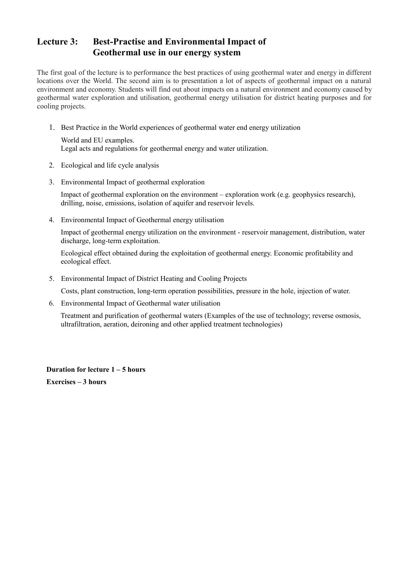## **Lecture 3: Best-Practise and Environmental Impact of Geothermal use in our energy system**

The first goal of the lecture is to performance the best practices of using geothermal water and energy in different locations over the World. The second aim is to presentation a lot of aspects of geothermal impact on a natural environment and economy. Students will find out about impacts on a natural environment and economy caused by geothermal water exploration and utilisation, geothermal energy utilisation for district heating purposes and for cooling projects.

1. Best Practice in the World experiences of geothermal water end energy utilization

World and EU examples. Legal acts and regulations for geothermal energy and water utilization.

- 2. Ecological and life cycle analysis
- 3. Environmental Impact of geothermal exploration

 Impact of geothermal exploration on the environment – exploration work (e.g. geophysics research), drilling, noise, emissions, isolation of aquifer and reservoir levels.

4. Environmental Impact of Geothermal energy utilisation

 Impact of geothermal energy utilization on the environment - reservoir management, distribution, water discharge, long-term exploitation.

 Ecological effect obtained during the exploitation of geothermal energy. Economic profitability and ecological effect.

5. Environmental Impact of District Heating and Cooling Projects

Costs, plant construction, long-term operation possibilities, pressure in the hole, injection of water.

6. Environmental Impact of Geothermal water utilisation

Treatment and purification of geothermal waters (Examples of the use of technology; reverse osmosis, ultrafiltration, aeration, deironing and other applied treatment technologies)

**Duration for lecture 1 – 5 hours Exercises – 3 hours**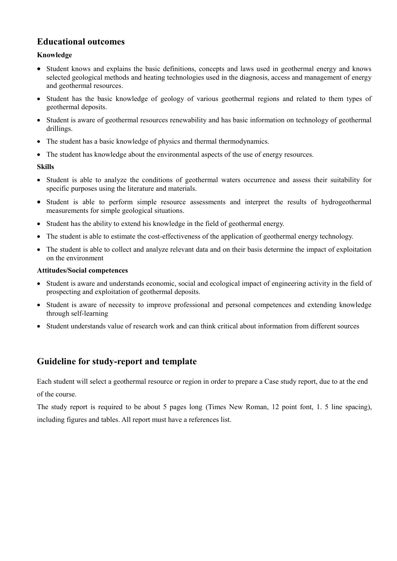## **Educational outcomes**

## **Knowledge**

- Student knows and explains the basic definitions, concepts and laws used in geothermal energy and knows selected geological methods and heating technologies used in the diagnosis, access and management of energy and geothermal resources.
- Student has the basic knowledge of geology of various geothermal regions and related to them types of geothermal deposits.
- Student is aware of geothermal resources renewability and has basic information on technology of geothermal drillings.
- The student has a basic knowledge of physics and thermal thermodynamics.
- The student has knowledge about the environmental aspects of the use of energy resources.

## **Skills**

- Student is able to analyze the conditions of geothermal waters occurrence and assess their suitability for specific purposes using the literature and materials.
- Student is able to perform simple resource assessments and interpret the results of hydrogeothermal measurements for simple geological situations.
- Student has the ability to extend his knowledge in the field of geothermal energy.
- The student is able to estimate the cost-effectiveness of the application of geothermal energy technology.
- The student is able to collect and analyze relevant data and on their basis determine the impact of exploitation on the environment

## **Attitudes/Social competences**

- Student is aware and understands economic, social and ecological impact of engineering activity in the field of prospecting and exploitation of geothermal deposits.
- Student is aware of necessity to improve professional and personal competences and extending knowledge through self-learning
- Student understands value of research work and can think critical about information from different sources

## **Guideline for study-report and template**

Each student will select a geothermal resource or region in order to prepare a Case study report, due to at the end of the course.

The study report is required to be about 5 pages long (Times New Roman, 12 point font, 1. 5 line spacing), including figures and tables. All report must have a references list.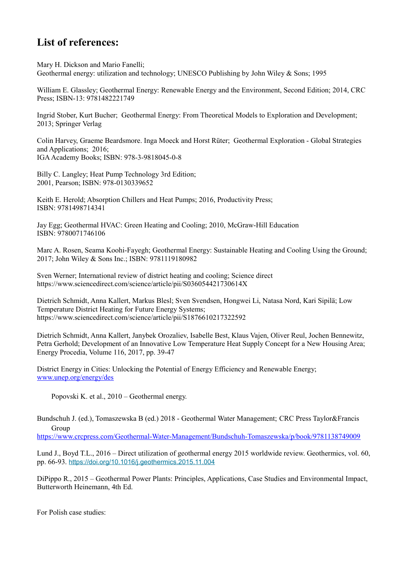## **List of references:**

Mary H. Dickson and Mario Fanelli;

Geothermal energy: utilization and technology; UNESCO Publishing by John Wiley & Sons; 1995

William E. Glassley; Geothermal Energy: Renewable Energy and the Environment, Second Edition; 2014, CRC Press; ISBN-13: 9781482221749

Ingrid Stober, Kurt Bucher; Geothermal Energy: From Theoretical Models to Exploration and Development; 2013; Springer Verlag

Colin Harvey, Graeme Beardsmore. Inga Moeck and Horst Rüter; Geothermal Exploration - Global Strategies and Applications; 2016; IGA Academy Books; ISBN: 978-3-9818045-0-8

Billy C. Langley; Heat Pump Technology 3rd Edition; 2001, Pearson; ISBN: 978-0130339652

Keith E. Herold; Absorption Chillers and Heat Pumps; 2016, Productivity Press; ISBN: 9781498714341

Jay Egg; Geothermal HVAC: Green Heating and Cooling; 2010, McGraw-Hill Education ISBN: 9780071746106

Marc A. Rosen, Seama Koohi-Fayegh; Geothermal Energy: Sustainable Heating and Cooling Using the Ground; 2017; John Wiley & Sons Inc.; ISBN: 9781119180982

Sven Werner; International review of district heating and cooling; Science direct https://www.sciencedirect.com/science/article/pii/S036054421730614X

Dietrich Schmidt, Anna Kallert, Markus Blesl; Sven Svendsen, Hongwei Li, Natasa Nord, Kari Sipilä; Low Temperature District Heating for Future Energy Systems; https://www.sciencedirect.com/science/article/pii/S1876610217322592

Dietrich Schmidt, Anna Kallert, Janybek Orozaliev, Isabelle Best, Klaus Vajen, Oliver Reul, Jochen Bennewitz, Petra Gerhold; Development of an Innovative Low Temperature Heat Supply Concept for a New Housing Area; Energy Procedia, Volume 116, 2017, pp. 39-47

District Energy in Cities: Unlocking the Potential of Energy Efficiency and Renewable Energy; [www.unep.org/energy/des](http://www.unep.org/energy/des)

Popovski K. et al., 2010 – Geothermal energy.

Bundschuh J. (ed.), Tomaszewska B (ed.) 2018 - Geothermal Water Management; CRC Press Taylor&Francis Group

<https://www.crcpress.com/Geothermal-Water-Management/Bundschuh-Tomaszewska/p/book/9781138749009>

Lund J., Boyd T.L., 2016 – Direct utilization of geothermal energy 2015 worldwide review. Geothermics, vol. 60, pp. 66-93. <https://doi.org/10.1016/j.geothermics.2015.11.004>

DiPippo R., 2015 – Geothermal Power Plants: Principles, Applications, Case Studies and Environmental Impact, Butterworth Heinemann, 4th Ed.

For Polish case studies: